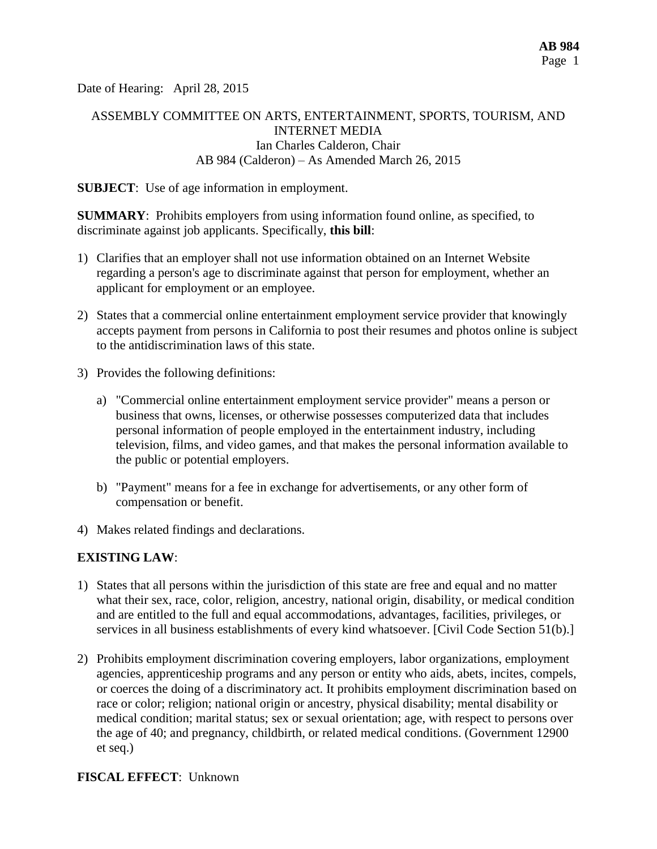Date of Hearing: April 28, 2015

# ASSEMBLY COMMITTEE ON ARTS, ENTERTAINMENT, SPORTS, TOURISM, AND INTERNET MEDIA Ian Charles Calderon, Chair AB 984 (Calderon) – As Amended March 26, 2015

#### **SUBJECT**: Use of age information in employment.

**SUMMARY**: Prohibits employers from using information found online, as specified, to discriminate against job applicants. Specifically, **this bill**:

- 1) Clarifies that an employer shall not use information obtained on an Internet Website regarding a person's age to discriminate against that person for employment, whether an applicant for employment or an employee.
- 2) States that a commercial online entertainment employment service provider that knowingly accepts payment from persons in California to post their resumes and photos online is subject to the antidiscrimination laws of this state.
- 3) Provides the following definitions:
	- a) "Commercial online entertainment employment service provider" means a person or business that owns, licenses, or otherwise possesses computerized data that includes personal information of people employed in the entertainment industry, including television, films, and video games, and that makes the personal information available to the public or potential employers.
	- b) "Payment" means for a fee in exchange for advertisements, or any other form of compensation or benefit.
- 4) Makes related findings and declarations.

#### **EXISTING LAW**:

- 1) States that all persons within the jurisdiction of this state are free and equal and no matter what their sex, race, color, religion, ancestry, national origin, disability, or medical condition and are entitled to the full and equal accommodations, advantages, facilities, privileges, or services in all business establishments of every kind whatsoever. [Civil Code Section 51(b).]
- 2) Prohibits employment discrimination covering employers, labor organizations, employment agencies, apprenticeship programs and any person or entity who aids, abets, incites, compels, or coerces the doing of a discriminatory act. It prohibits employment discrimination based on race or color; religion; national origin or ancestry, physical disability; mental disability or medical condition; marital status; sex or sexual orientation; age, with respect to persons over the age of 40; and pregnancy, childbirth, or related medical conditions. (Government 12900 et seq.)

#### **FISCAL EFFECT**: Unknown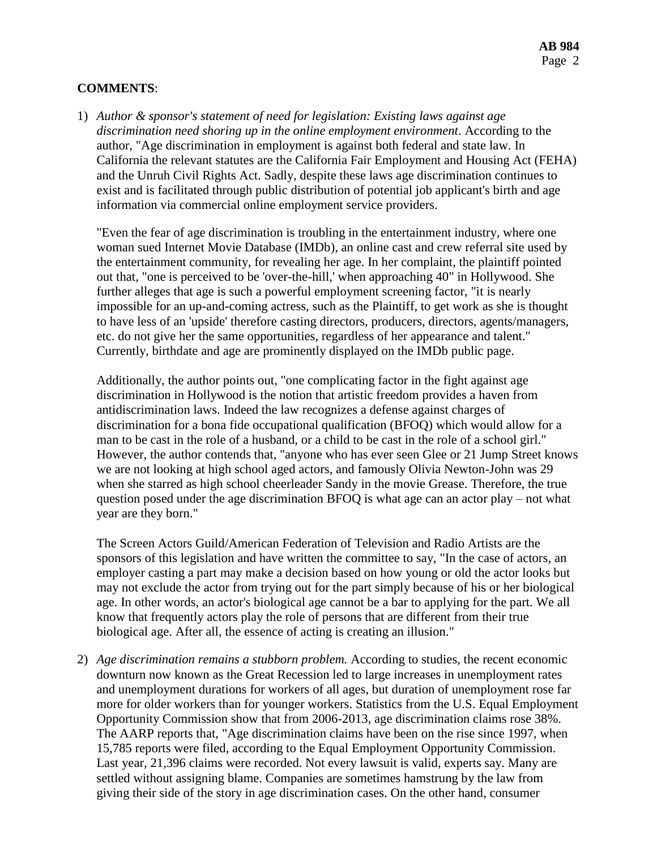### **COMMENTS**:

1) *Author & sponsor's statement of need for legislation: Existing laws against age discrimination need shoring up in the online employment environment*. According to the author, "Age discrimination in employment is against both federal and state law. In California the relevant statutes are the California Fair Employment and Housing Act (FEHA) and the Unruh Civil Rights Act. Sadly, despite these laws age discrimination continues to exist and is facilitated through public distribution of potential job applicant's birth and age information via commercial online employment service providers.

"Even the fear of age discrimination is troubling in the entertainment industry, where one woman sued Internet Movie Database (IMDb), an online cast and crew referral site used by the entertainment community, for revealing her age. In her complaint, the plaintiff pointed out that, "one is perceived to be 'over-the-hill,' when approaching 40" in Hollywood. She further alleges that age is such a powerful employment screening factor, "it is nearly impossible for an up-and-coming actress, such as the Plaintiff, to get work as she is thought to have less of an 'upside' therefore casting directors, producers, directors, agents/managers, etc. do not give her the same opportunities, regardless of her appearance and talent." Currently, birthdate and age are prominently displayed on the IMDb public page.

Additionally, the author points out, "one complicating factor in the fight against age discrimination in Hollywood is the notion that artistic freedom provides a haven from antidiscrimination laws. Indeed the law recognizes a defense against charges of discrimination for a bona fide occupational qualification (BFOQ) which would allow for a man to be cast in the role of a husband, or a child to be cast in the role of a school girl." However, the author contends that, "anyone who has ever seen Glee or 21 Jump Street knows we are not looking at high school aged actors, and famously Olivia Newton-John was 29 when she starred as high school cheerleader Sandy in the movie Grease. Therefore, the true question posed under the age discrimination BFOQ is what age can an actor play – not what year are they born."

The Screen Actors Guild/American Federation of Television and Radio Artists are the sponsors of this legislation and have written the committee to say, "In the case of actors, an employer casting a part may make a decision based on how young or old the actor looks but may not exclude the actor from trying out for the part simply because of his or her biological age. In other words, an actor's biological age cannot be a bar to applying for the part. We all know that frequently actors play the role of persons that are different from their true biological age. After all, the essence of acting is creating an illusion."

2) *Age discrimination remains a stubborn problem.* According to studies, the recent economic downturn now known as the Great Recession led to large increases in unemployment rates and unemployment durations for workers of all ages, but duration of unemployment rose far more for older workers than for younger workers. Statistics from the U.S. Equal Employment Opportunity Commission show that from 2006-2013, age discrimination claims rose 38%. The AARP reports that, "Age [discrimination](http://www.aarp.org/work/on-the-job/info-07-2013/age-discrimination-employment-act.html) claims have been on the rise since 1997, when 15,785 reports were filed, according to the Equal Employment Opportunity Commission. Last year, 21,396 claims were recorded. Not every lawsuit is valid, experts say. Many are settled without assigning blame. Companies are sometimes hamstrung by the law from giving their side of the story in age discrimination cases. On the other hand, consumer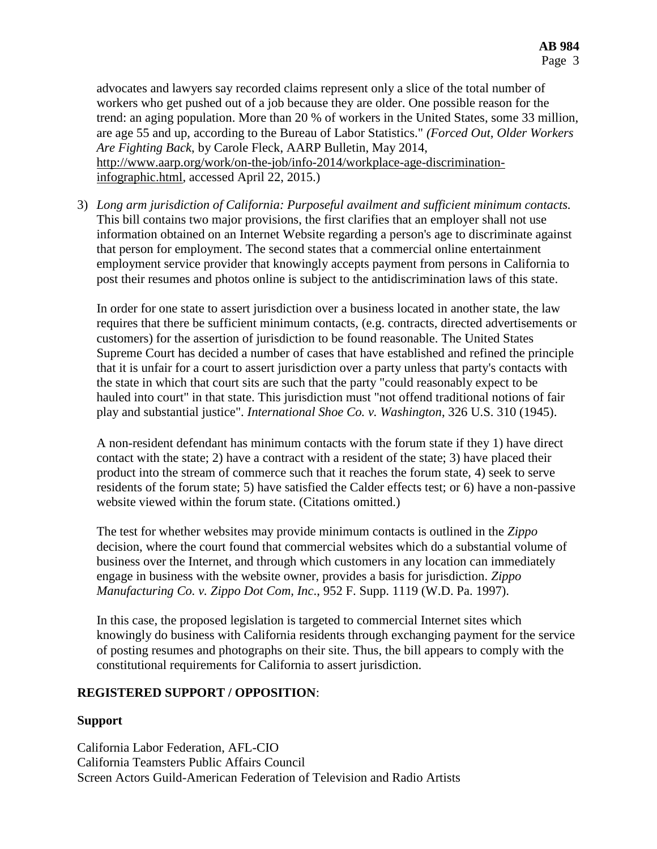advocates and lawyers say recorded claims represent only a slice of the total number of workers who get pushed out of a job because they are older. One possible reason for the trend: an aging population. More than 20 % of workers in the United States, some 33 million, are age 55 and up, according to the Bureau of Labor Statistics." *(Forced Out, Older Workers Are Fighting Back*, by Carole Fleck, AARP Bulletin, May 2014, [http://www.aarp.org/work/on-the-job/info-2014/workplace-age-discrimination](http://www.aarp.org/work/on-the-job/info-2014/workplace-age-discrimination-infographic.html)[infographic.html,](http://www.aarp.org/work/on-the-job/info-2014/workplace-age-discrimination-infographic.html) accessed April 22, 2015.)

3) *Long arm jurisdiction of California: Purposeful availment and sufficient minimum contacts.* This bill contains two major provisions, the first clarifies that an employer shall not use information obtained on an Internet Website regarding a person's age to discriminate against that person for employment. The second states that a commercial online entertainment employment service provider that knowingly accepts payment from persons in California to post their resumes and photos online is subject to the antidiscrimination laws of this state.

In order for one state to assert jurisdiction over a business located in another state, the law requires that there be sufficient minimum contacts, (e.g. contracts, directed advertisements or customers) for the assertion of jurisdiction to be found reasonable. The [United States](http://en.wikipedia.org/wiki/United_States_Supreme_Court)  [Supreme Court](http://en.wikipedia.org/wiki/United_States_Supreme_Court) has decided a number of cases that have established and refined the principle that it is unfair for a court to assert jurisdiction over a party unless that party's contacts with the state in which that court sits are such that the party "could reasonably expect to be hauled into court" in that state. This jurisdiction must "not offend traditional notions of fair play and substantial justice". *[International Shoe Co. v. Washington](http://en.wikipedia.org/wiki/International_Shoe_Co._v._Washington)*, 326 [U.S.](http://en.wikipedia.org/wiki/United_States_Reports) [310](https://supreme.justia.com/cases/federal/us/326/310/) (1945).

A non-resident defendant has minimum contacts with the forum state if they 1) have direct contact with the state; 2) have a contract with a resident of the state; 3) have placed their product into the stream of commerce such that it reaches the forum state, 4) seek to serve residents of the forum state; 5) have satisfied the Calder effects test; or 6) have a non-passive website viewed within the forum state. (Citations omitted.)

The test for whether websites may provide minimum contacts is outlined in the *Zippo* decision, where the court found that commercial websites which do a substantial volume of business over the Internet, and through which customers in any location can immediately engage in business with the website owner, provides a basis for jurisdiction. *Zippo Manufacturing Co. v. Zippo Dot Com, Inc*., 952 F. Supp. 1119 (W.D. Pa. 1997).

In this case, the proposed legislation is targeted to commercial Internet sites which knowingly do business with California residents through exchanging payment for the service of posting resumes and photographs on their site. Thus, the bill appears to comply with the constitutional requirements for California to assert jurisdiction.

# **REGISTERED SUPPORT / OPPOSITION**:

# **Support**

California Labor Federation, AFL-CIO California Teamsters Public Affairs Council Screen Actors Guild-American Federation of Television and Radio Artists